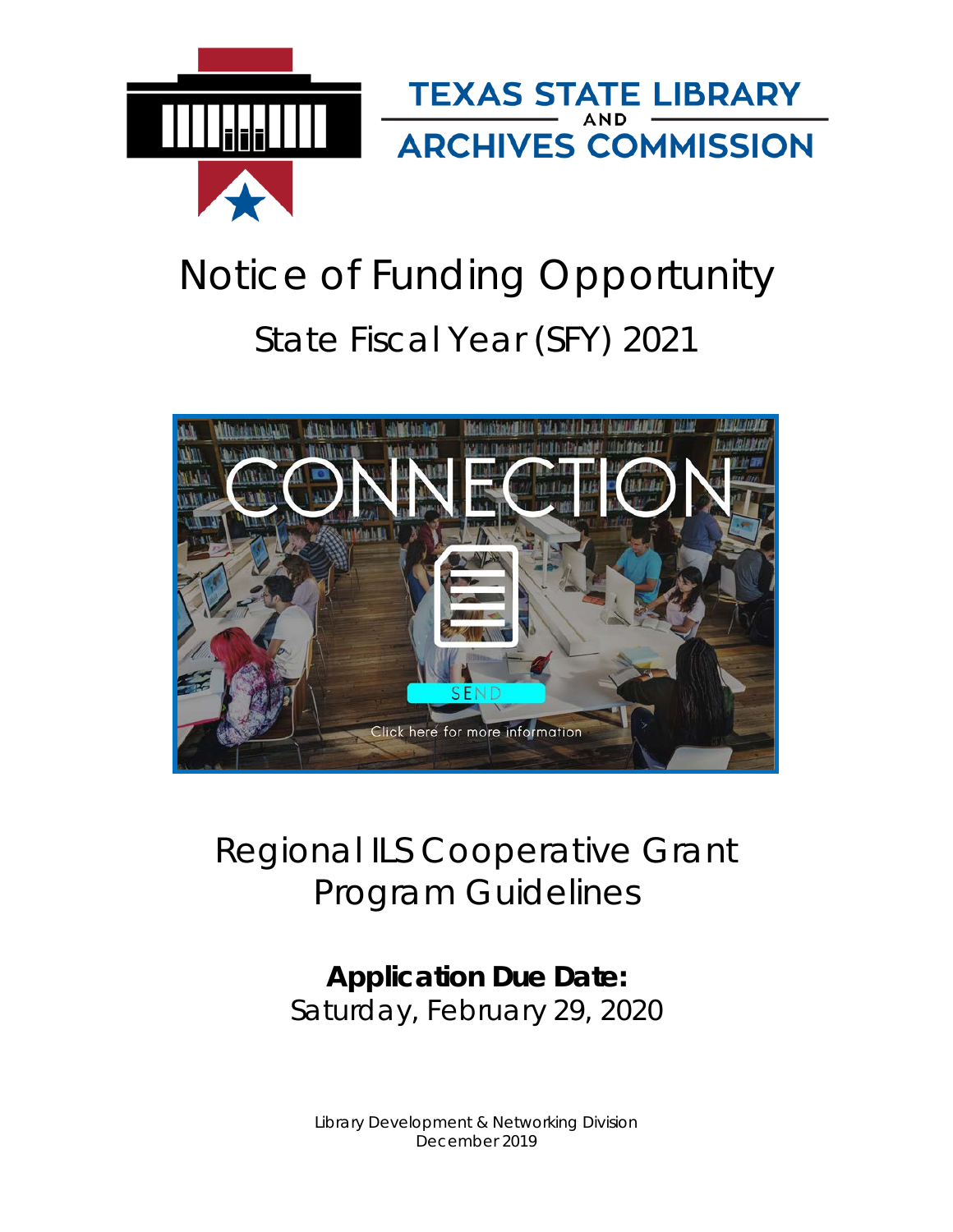

# Notice of Funding Opportunity State Fiscal Year (SFY) 2021



## Regional ILS Cooperative Grant Program Guidelines

## **Application Due Date:** Saturday, February 29, 2020

Library Development & Networking Division December 2019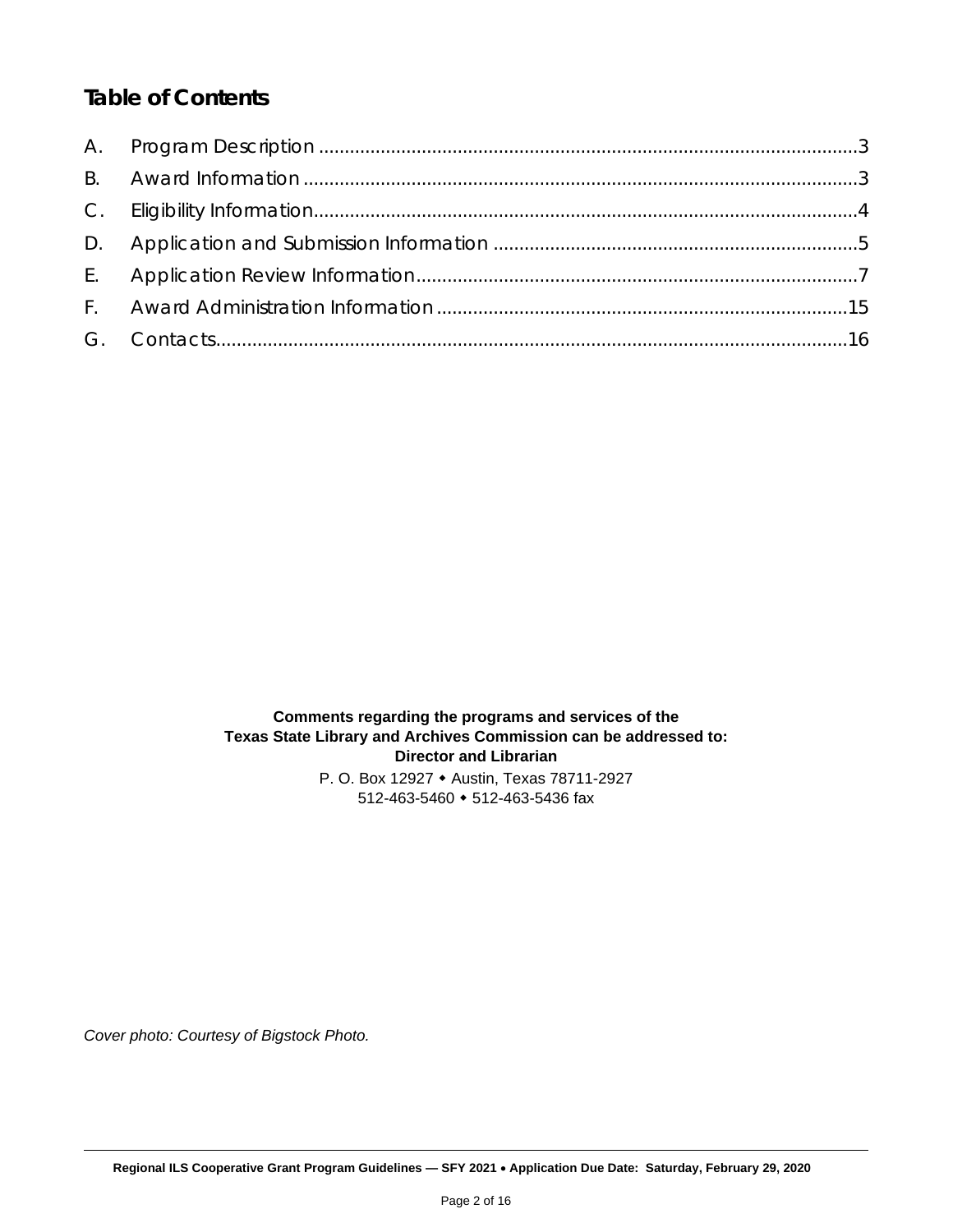## *Table of Contents*

**Comments regarding the programs and services of the Texas State Library and Archives Commission can be addressed to: Director and Librarian** P. O. Box 12927 Austin, Texas 78711-2927 512-463-5460 512-463-5436 fax

*Cover photo: Courtesy of Bigstock Photo.*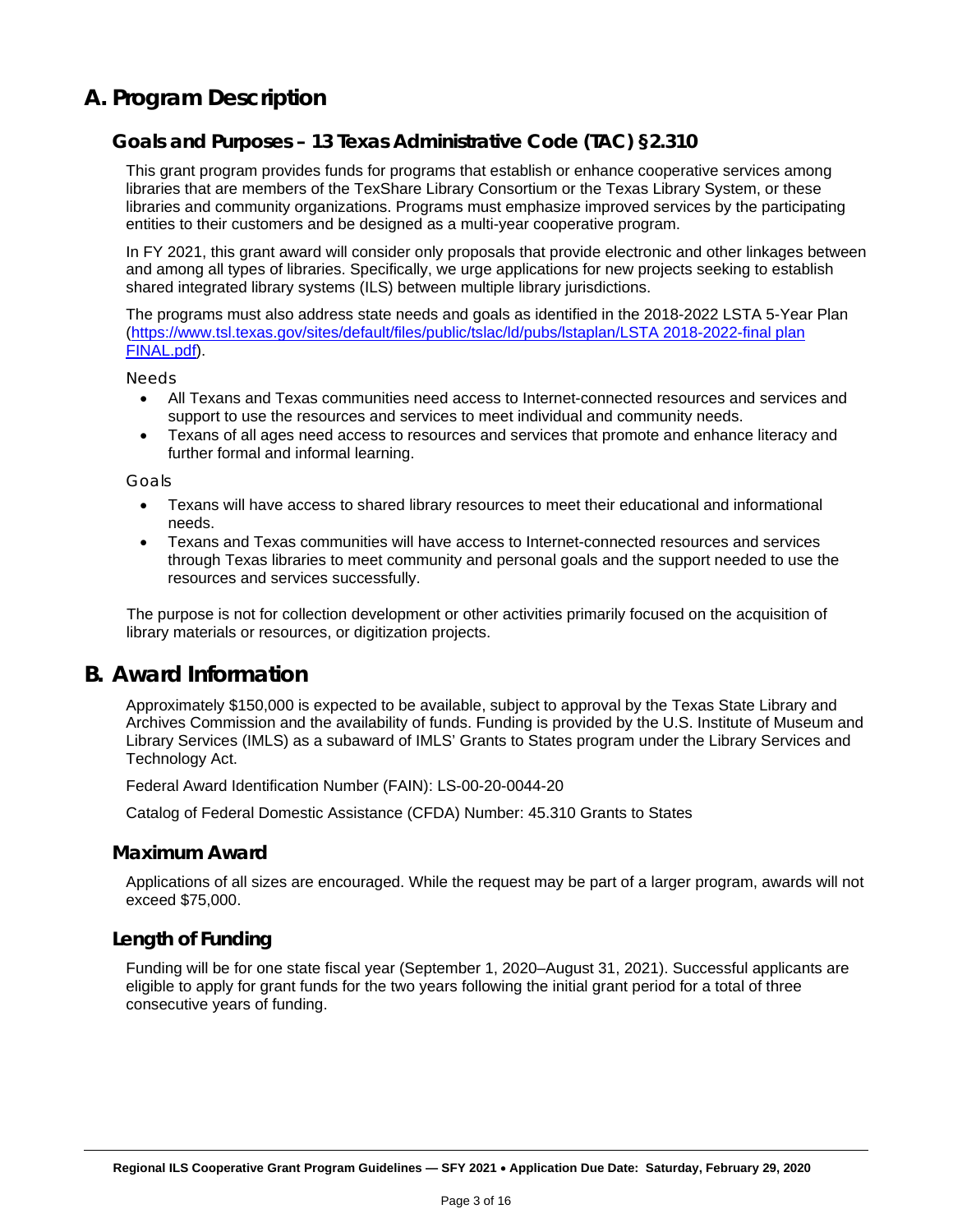### <span id="page-2-0"></span>**A. Program Description**

#### **Goals and Purposes – 13 Texas Administrative Code (TAC) §2.310**

This grant program provides funds for programs that establish or enhance cooperative services among libraries that are members of the TexShare Library Consortium or the Texas Library System, or these libraries and community organizations. Programs must emphasize improved services by the participating entities to their customers and be designed as a multi-year cooperative program.

In FY 2021, this grant award will consider only proposals that provide electronic and other linkages between and among all types of libraries. Specifically, we urge applications for new projects seeking to establish shared integrated library systems (ILS) between multiple library jurisdictions.

The programs must also address state needs and goals as identified in the 2018-2022 LSTA 5-Year Plan [\(https://www.tsl.texas.gov/sites/default/files/public/tslac/ld/pubs/lstaplan/LSTA 2018-2022-final plan](https://www.tsl.texas.gov/sites/default/files/public/tslac/ld/pubs/lstaplan/LSTA%202018-2022-final%20plan%20FINAL.pdf)  [FINAL.pdf\)](https://www.tsl.texas.gov/sites/default/files/public/tslac/ld/pubs/lstaplan/LSTA%202018-2022-final%20plan%20FINAL.pdf).

*Needs*

- All Texans and Texas communities need access to Internet-connected resources and services and support to use the resources and services to meet individual and community needs.
- Texans of all ages need access to resources and services that promote and enhance literacy and further formal and informal learning.

*Goals*

- Texans will have access to shared library resources to meet their educational and informational needs.
- Texans and Texas communities will have access to Internet-connected resources and services through Texas libraries to meet community and personal goals and the support needed to use the resources and services successfully.

The purpose is not for collection development or other activities primarily focused on the acquisition of library materials or resources, or digitization projects.

### <span id="page-2-1"></span>**B. Award Information**

Approximately \$150,000 is expected to be available, subject to approval by the Texas State Library and Archives Commission and the availability of funds. Funding is provided by the U.S. Institute of Museum and Library Services (IMLS) as a subaward of IMLS' Grants to States program under the Library Services and Technology Act.

Federal Award Identification Number (FAIN): LS-00-20-0044-20

Catalog of Federal Domestic Assistance (CFDA) Number: 45.310 Grants to States

#### **Maximum Award**

Applications of all sizes are encouraged. While the request may be part of a larger program, awards will not exceed \$75,000.

#### **Length of Funding**

Funding will be for one state fiscal year (September 1, 2020–August 31, 2021). Successful applicants are eligible to apply for grant funds for the two years following the initial grant period for a total of three consecutive years of funding.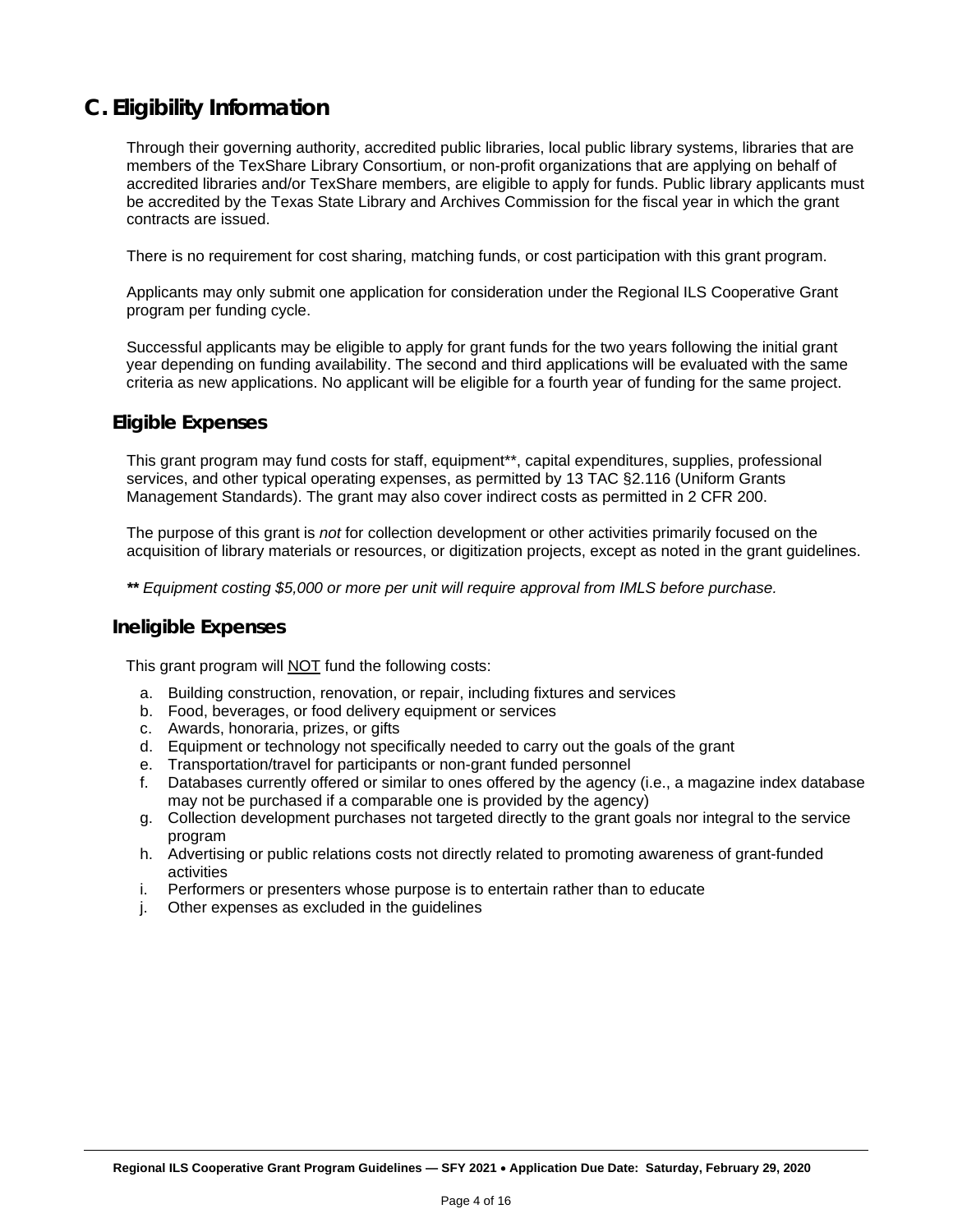## <span id="page-3-0"></span>**C. Eligibility Information**

Through their governing authority, accredited public libraries, local public library systems, libraries that are members of the TexShare Library Consortium, or non-profit organizations that are applying on behalf of accredited libraries and/or TexShare members, are eligible to apply for funds. Public library applicants must be accredited by the Texas State Library and Archives Commission for the fiscal year in which the grant contracts are issued.

There is no requirement for cost sharing, matching funds, or cost participation with this grant program.

Applicants may only submit one application for consideration under the Regional ILS Cooperative Grant program per funding cycle.

Successful applicants may be eligible to apply for grant funds for the two years following the initial grant year depending on funding availability. The second and third applications will be evaluated with the same criteria as new applications. No applicant will be eligible for a fourth year of funding for the same project.

#### **Eligible Expenses**

This grant program may fund costs for staff, equipment\*\*, capital expenditures, supplies, professional services, and other typical operating expenses, as permitted by 13 TAC §2.116 (Uniform Grants Management Standards). The grant may also cover indirect costs as permitted in 2 CFR 200.

The purpose of this grant is *not* for collection development or other activities primarily focused on the acquisition of library materials or resources, or digitization projects, except as noted in the grant guidelines.

*\*\* Equipment costing \$5,000 or more per unit will require approval from IMLS before purchase.*

#### **Ineligible Expenses**

This grant program will NOT fund the following costs:

- a. Building construction, renovation, or repair, including fixtures and services
- b. Food, beverages, or food delivery equipment or services
- c. Awards, honoraria, prizes, or gifts
- d. Equipment or technology not specifically needed to carry out the goals of the grant
- e. Transportation/travel for participants or non-grant funded personnel
- f. Databases currently offered or similar to ones offered by the agency (i.e., a magazine index database may not be purchased if a comparable one is provided by the agency)
- g. Collection development purchases not targeted directly to the grant goals nor integral to the service program
- h. Advertising or public relations costs not directly related to promoting awareness of grant-funded activities
- i. Performers or presenters whose purpose is to entertain rather than to educate
- j. Other expenses as excluded in the guidelines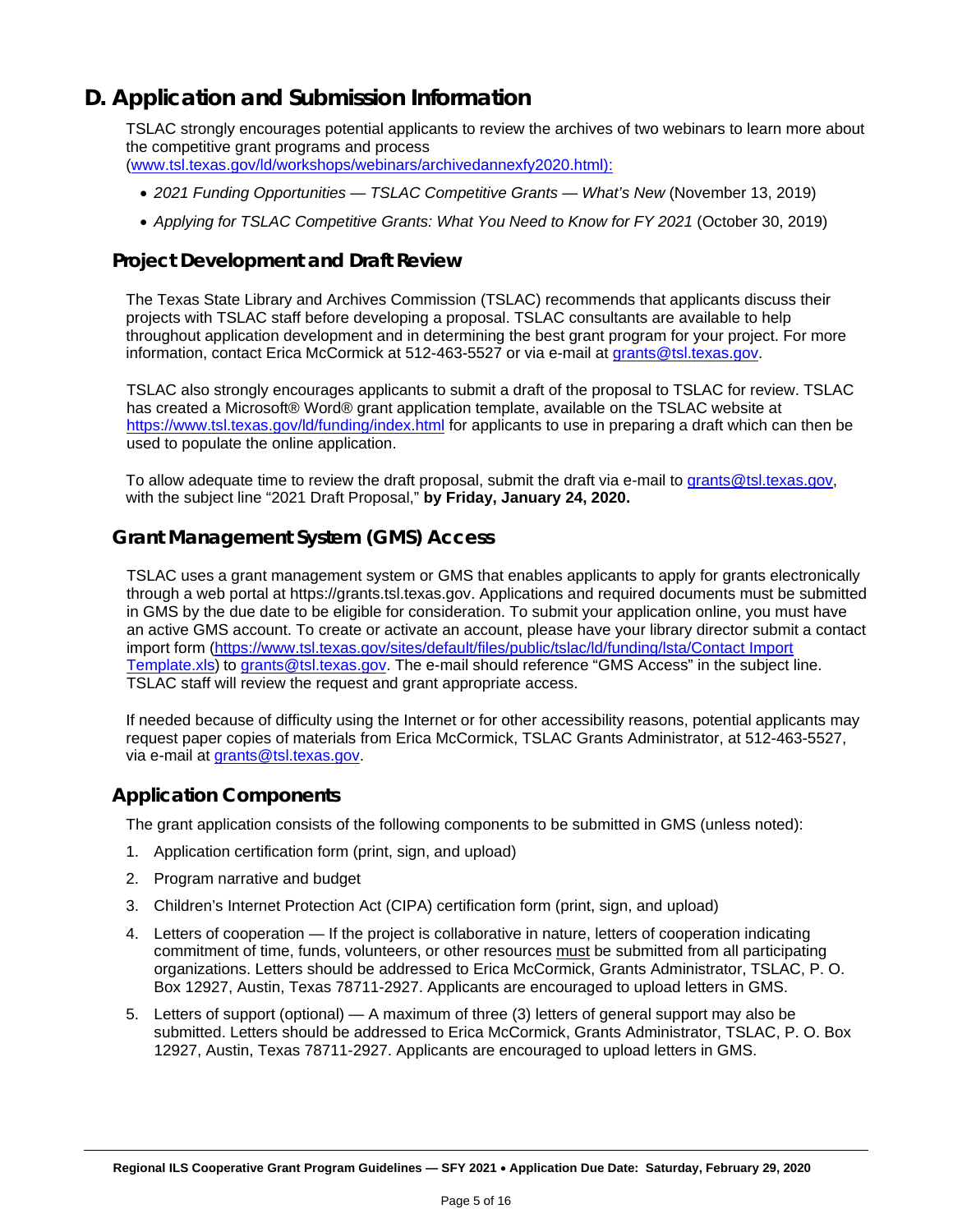## <span id="page-4-0"></span>**D. Application and Submission Information**

TSLAC strongly encourages potential applicants to review the archives of two webinars to learn more about the competitive grant programs and process

- [\(www.tsl.texas.gov/ld/workshops/webinars/archivedannexfy2020.html\):](www.tsl.texas.gov/ld/workshops/webinars/archivedannexfy2020.html):)
	- *2021 Funding Opportunities — TSLAC Competitive Grants — What's New* (November 13, 2019)
	- *Applying for TSLAC Competitive Grants: What You Need to Know for FY 2021* (October 30, 2019)

#### **Project Development and Draft Review**

The Texas State Library and Archives Commission (TSLAC) recommends that applicants discuss their projects with TSLAC staff before developing a proposal. TSLAC consultants are available to help throughout application development and in determining the best grant program for your project. For more information, contact Erica McCormick at 512-463-5527 or via e-mail at grants@tsl.texas.gov.

TSLAC also strongly encourages applicants to submit a draft of the proposal to TSLAC for review. TSLAC has created a Microsoft® Word® grant application template, available on the TSLAC website at <https://www.tsl.texas.gov/ld/funding/index.html> for applicants to use in preparing a draft which can then be used to populate the online application.

To allow adequate time to review the draft proposal, submit the draft via e-mail to [grants@tsl.texas.gov,](mailto:grants@tsl.texas.gov) with the subject line "2021 Draft Proposal," **by Friday, January 24, 2020.**

#### **Grant Management System (GMS) Access**

TSLAC uses a grant management system or GMS that enables applicants to apply for grants electronically through a web portal at https://grants.tsl.texas.gov. Applications and required documents must be submitted in GMS by the due date to be eligible for consideration. To submit your application online, you must have an active GMS account. To create or activate an account, please have your library director submit a contact import form [\(https://www.tsl.texas.gov/sites/default/files/public/tslac/ld/funding/lsta/Contact Import](https://www.tsl.texas.gov/sites/default/files/public/tslac/ld/funding/lsta/Contact%20Import%20Template.xls)  [Template.xls\)](https://www.tsl.texas.gov/sites/default/files/public/tslac/ld/funding/lsta/Contact%20Import%20Template.xls) to grants@tsl.texas.gov. The e-mail should reference "GMS Access" in the subject line. TSLAC staff will review the request and grant appropriate access.

If needed because of difficulty using the Internet or for other accessibility reasons, potential applicants may request paper copies of materials from Erica McCormick, TSLAC Grants Administrator, at 512-463-5527, via e-mail at grants@tsl.texas.gov.

#### **Application Components**

The grant application consists of the following components to be submitted in GMS (unless noted):

- 1. Application certification form (print, sign, and upload)
- 2. Program narrative and budget
- 3. Children's Internet Protection Act (CIPA) certification form (print, sign, and upload)
- 4. Letters of cooperation If the project is collaborative in nature, letters of cooperation indicating commitment of time, funds, volunteers, or other resources must be submitted from all participating organizations. Letters should be addressed to Erica McCormick, Grants Administrator, TSLAC, P. O. Box 12927, Austin, Texas 78711-2927. Applicants are encouraged to upload letters in GMS.
- 5. Letters of support (optional) A maximum of three (3) letters of general support may also be submitted. Letters should be addressed to Erica McCormick, Grants Administrator, TSLAC, P. O. Box 12927, Austin, Texas 78711-2927. Applicants are encouraged to upload letters in GMS.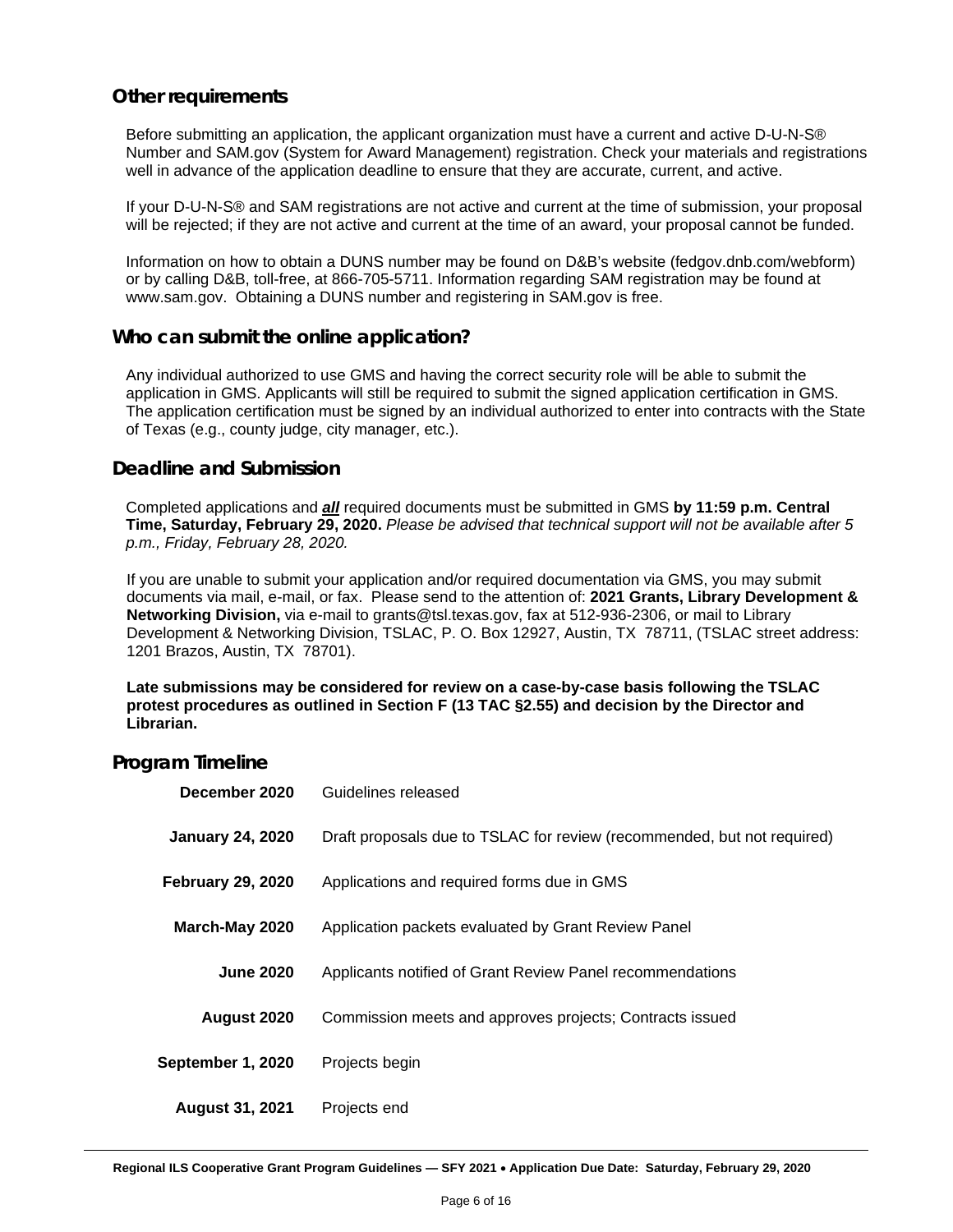#### **Other requirements**

Before submitting an application, the applicant organization must have a current and active D-U-N-S® Number and SAM.gov (System for Award Management) registration. Check your materials and registrations well in advance of the application deadline to ensure that they are accurate, current, and active.

If your D-U-N-S® and SAM registrations are not active and current at the time of submission, your proposal will be rejected; if they are not active and current at the time of an award, your proposal cannot be funded.

Information on how to obtain a DUNS number may be found on D&B's website (fedgov.dnb.com/webform) or by calling D&B, toll-free, at 866-705-5711. Information regarding SAM registration may be found at www.sam.gov. Obtaining a DUNS number and registering in SAM.gov is free.

#### **Who can submit the online application?**

Any individual authorized to use GMS and having the correct security role will be able to submit the application in GMS. Applicants will still be required to submit the signed application certification in GMS. The application certification must be signed by an individual authorized to enter into contracts with the State of Texas (e.g., county judge, city manager, etc.).

#### **Deadline and Submission**

Completed applications and *all* required documents must be submitted in GMS **by 11:59 p.m. Central Time, Saturday, February 29, 2020.** *Please be advised that technical support will not be available after 5 p.m., Friday, February 28, 2020.*

If you are unable to submit your application and/or required documentation via GMS, you may submit documents via mail, e-mail, or fax. Please send to the attention of: **2021 Grants, Library Development & Networking Division,** via e-mail to grants@tsl.texas.gov, fax at 512-936-2306, or mail to Library Development & Networking Division, TSLAC, P. O. Box 12927, Austin, TX 78711, (TSLAC street address: 1201 Brazos, Austin, TX 78701).

**Late submissions may be considered for review on a case-by-case basis following the TSLAC protest procedures as outlined in Section F (13 TAC §2.55) and decision by the Director and Librarian.**

#### **Program Timeline**

| December 2020            | Guidelines released                                                     |
|--------------------------|-------------------------------------------------------------------------|
| <b>January 24, 2020</b>  | Draft proposals due to TSLAC for review (recommended, but not required) |
| <b>February 29, 2020</b> | Applications and required forms due in GMS                              |
| March-May 2020           | Application packets evaluated by Grant Review Panel                     |
| <b>June 2020</b>         | Applicants notified of Grant Review Panel recommendations               |
| August 2020              | Commission meets and approves projects; Contracts issued                |
| September 1, 2020        | Projects begin                                                          |
| <b>August 31, 2021</b>   | Projects end                                                            |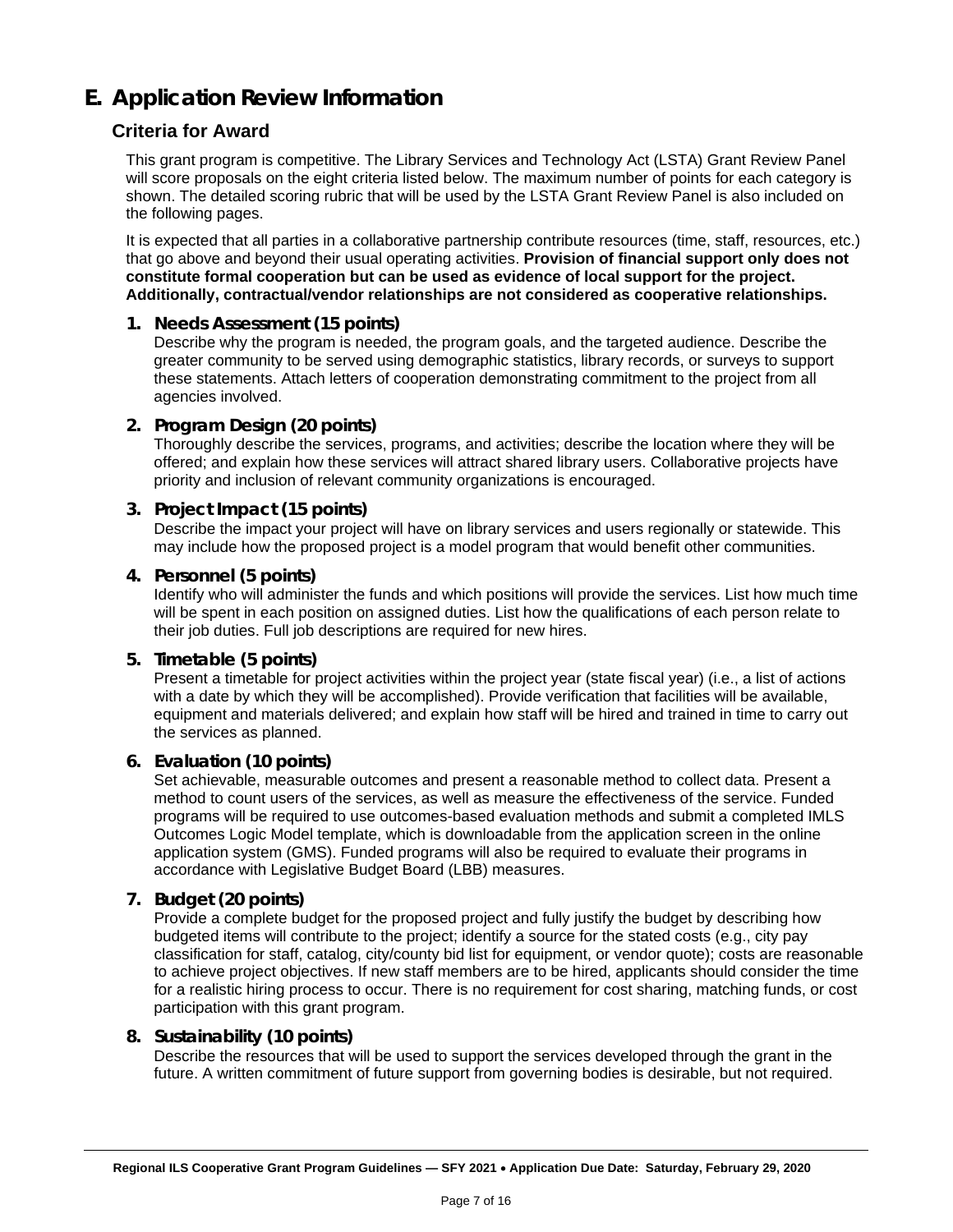## <span id="page-6-0"></span>**E. Application Review Information**

#### **Criteria for Award**

This grant program is competitive. The Library Services and Technology Act (LSTA) Grant Review Panel will score proposals on the eight criteria listed below. The maximum number of points for each category is shown. The detailed scoring rubric that will be used by the LSTA Grant Review Panel is also included on the following pages.

It is expected that all parties in a collaborative partnership contribute resources (time, staff, resources, etc.) that go above and beyond their usual operating activities. **Provision of financial support only does not constitute formal cooperation but can be used as evidence of local support for the project. Additionally, contractual/vendor relationships are not considered as cooperative relationships.**

#### **1. Needs Assessment (15 points)**

Describe why the program is needed, the program goals, and the targeted audience. Describe the greater community to be served using demographic statistics, library records, or surveys to support these statements. Attach letters of cooperation demonstrating commitment to the project from all agencies involved.

#### **2. Program Design (20 points)**

Thoroughly describe the services, programs, and activities; describe the location where they will be offered; and explain how these services will attract shared library users. Collaborative projects have priority and inclusion of relevant community organizations is encouraged.

#### **3. Project Impact (15 points)**

Describe the impact your project will have on library services and users regionally or statewide. This may include how the proposed project is a model program that would benefit other communities.

#### **4. Personnel (5 points)**

Identify who will administer the funds and which positions will provide the services. List how much time will be spent in each position on assigned duties. List how the qualifications of each person relate to their job duties. Full job descriptions are required for new hires.

#### **5. Timetable (5 points)**

Present a timetable for project activities within the project year (state fiscal year) (i.e., a list of actions with a date by which they will be accomplished). Provide verification that facilities will be available, equipment and materials delivered; and explain how staff will be hired and trained in time to carry out the services as planned.

#### **6. Evaluation (10 points)**

Set achievable, measurable outcomes and present a reasonable method to collect data. Present a method to count users of the services, as well as measure the effectiveness of the service. Funded programs will be required to use outcomes-based evaluation methods and submit a completed IMLS Outcomes Logic Model template, which is downloadable from the application screen in the online application system (GMS). Funded programs will also be required to evaluate their programs in accordance with Legislative Budget Board (LBB) measures.

#### **7. Budget (20 points)**

Provide a complete budget for the proposed project and fully justify the budget by describing how budgeted items will contribute to the project; identify a source for the stated costs (e.g., city pay classification for staff, catalog, city/county bid list for equipment, or vendor quote); costs are reasonable to achieve project objectives. If new staff members are to be hired, applicants should consider the time for a realistic hiring process to occur. There is no requirement for cost sharing, matching funds, or cost participation with this grant program.

#### **8. Sustainability (10 points)**

Describe the resources that will be used to support the services developed through the grant in the future. A written commitment of future support from governing bodies is desirable, but not required.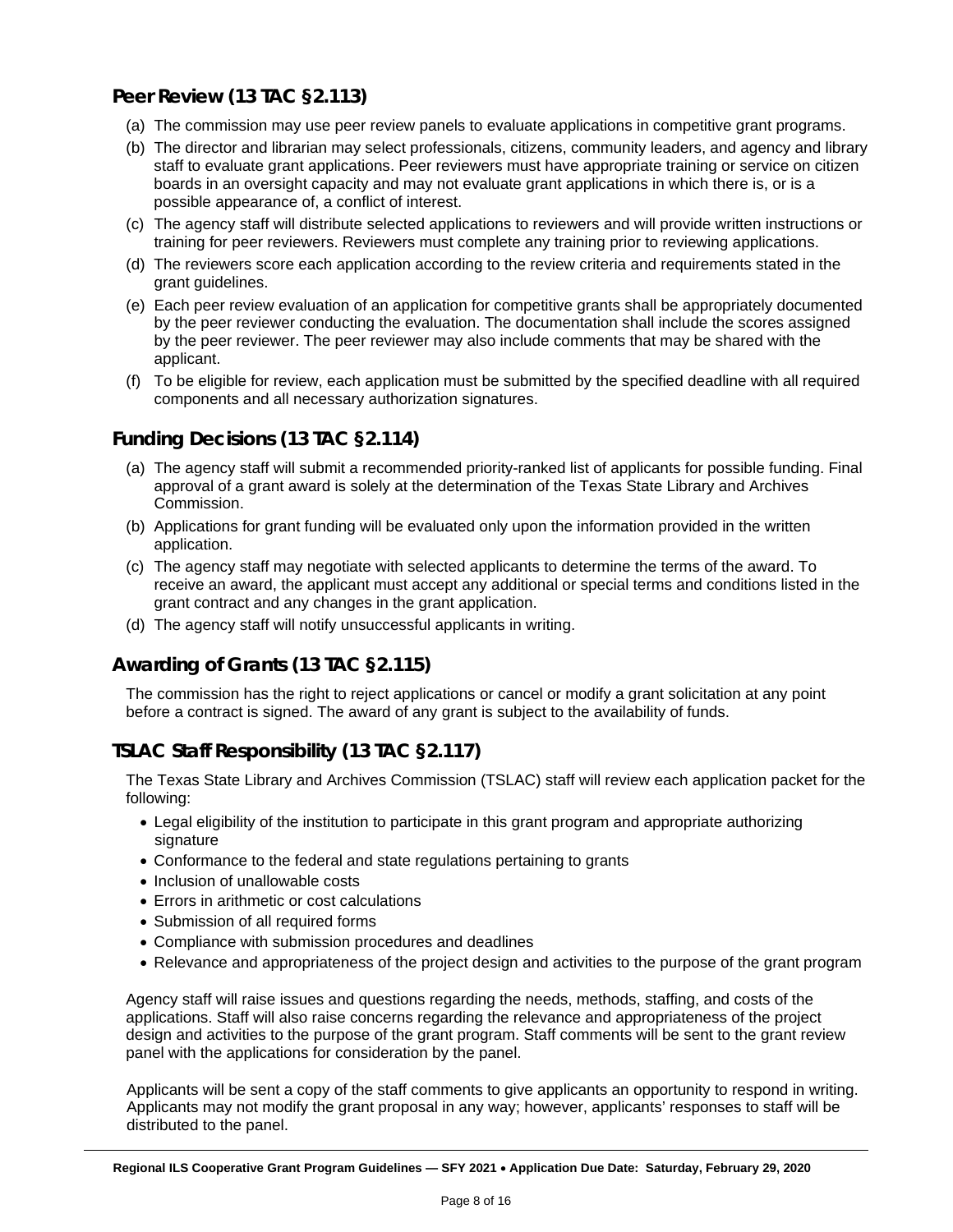#### **Peer Review (13 TAC §2.113)**

- (a) The commission may use peer review panels to evaluate applications in competitive grant programs.
- (b) The director and librarian may select professionals, citizens, community leaders, and agency and library staff to evaluate grant applications. Peer reviewers must have appropriate training or service on citizen boards in an oversight capacity and may not evaluate grant applications in which there is, or is a possible appearance of, a conflict of interest.
- (c) The agency staff will distribute selected applications to reviewers and will provide written instructions or training for peer reviewers. Reviewers must complete any training prior to reviewing applications.
- (d) The reviewers score each application according to the review criteria and requirements stated in the grant guidelines.
- (e) Each peer review evaluation of an application for competitive grants shall be appropriately documented by the peer reviewer conducting the evaluation. The documentation shall include the scores assigned by the peer reviewer. The peer reviewer may also include comments that may be shared with the applicant.
- (f) To be eligible for review, each application must be submitted by the specified deadline with all required components and all necessary authorization signatures.

#### **Funding Decisions (13 TAC §2.114)**

- (a) The agency staff will submit a recommended priority-ranked list of applicants for possible funding. Final approval of a grant award is solely at the determination of the Texas State Library and Archives Commission.
- (b) Applications for grant funding will be evaluated only upon the information provided in the written application.
- (c) The agency staff may negotiate with selected applicants to determine the terms of the award. To receive an award, the applicant must accept any additional or special terms and conditions listed in the grant contract and any changes in the grant application.
- (d) The agency staff will notify unsuccessful applicants in writing.

#### **Awarding of Grants (13 TAC §2.115)**

The commission has the right to reject applications or cancel or modify a grant solicitation at any point before a contract is signed. The award of any grant is subject to the availability of funds.

#### **TSLAC Staff Responsibility (13 TAC §2.117)**

The Texas State Library and Archives Commission (TSLAC) staff will review each application packet for the following:

- Legal eligibility of the institution to participate in this grant program and appropriate authorizing signature
- Conformance to the federal and state regulations pertaining to grants
- Inclusion of unallowable costs
- Errors in arithmetic or cost calculations
- Submission of all required forms
- Compliance with submission procedures and deadlines
- Relevance and appropriateness of the project design and activities to the purpose of the grant program

Agency staff will raise issues and questions regarding the needs, methods, staffing, and costs of the applications. Staff will also raise concerns regarding the relevance and appropriateness of the project design and activities to the purpose of the grant program. Staff comments will be sent to the grant review panel with the applications for consideration by the panel.

Applicants will be sent a copy of the staff comments to give applicants an opportunity to respond in writing. Applicants may not modify the grant proposal in any way; however, applicants' responses to staff will be distributed to the panel.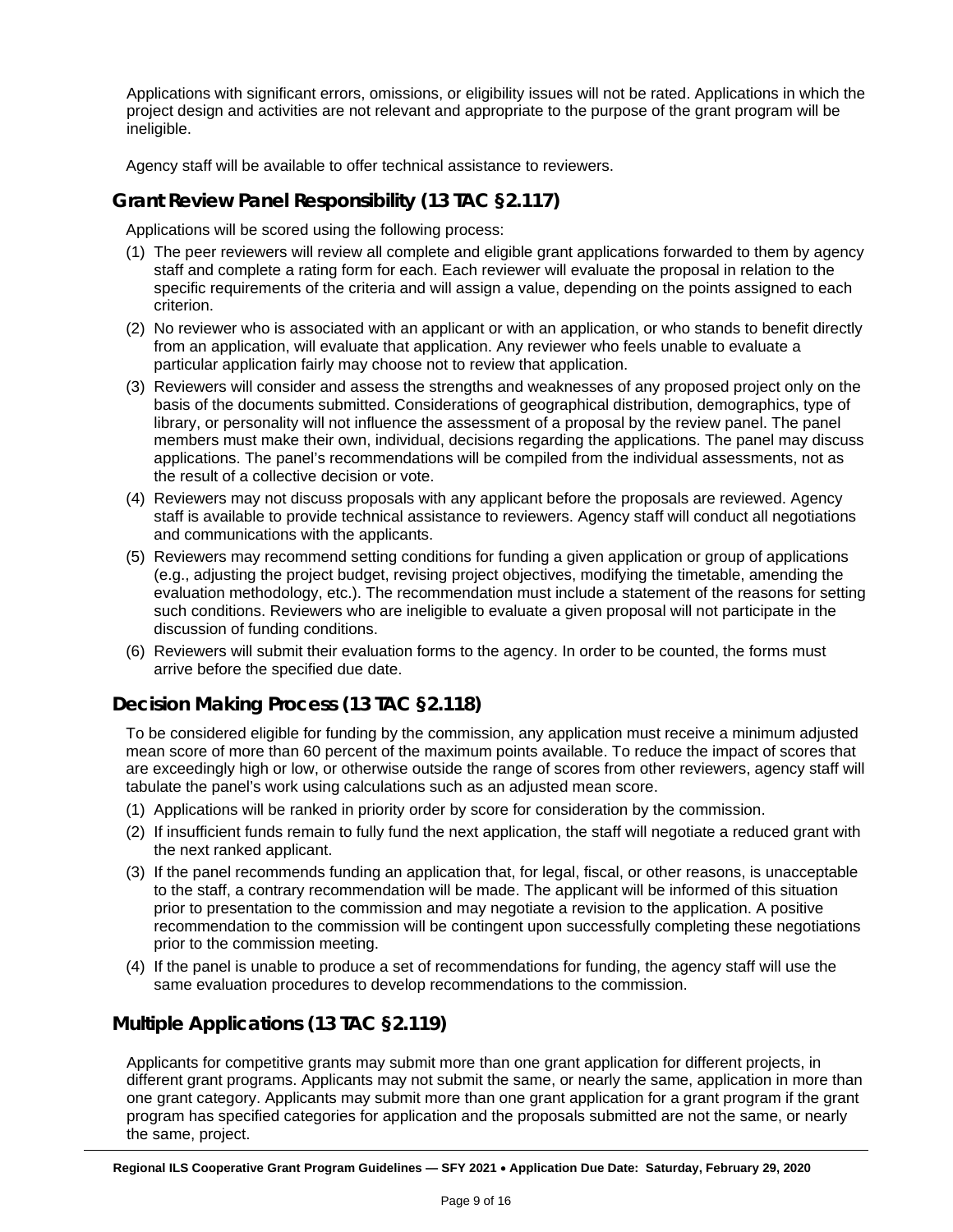Applications with significant errors, omissions, or eligibility issues will not be rated. Applications in which the project design and activities are not relevant and appropriate to the purpose of the grant program will be ineligible.

Agency staff will be available to offer technical assistance to reviewers.

#### **Grant Review Panel Responsibility (13 TAC §2.117)**

Applications will be scored using the following process:

- (1) The peer reviewers will review all complete and eligible grant applications forwarded to them by agency staff and complete a rating form for each. Each reviewer will evaluate the proposal in relation to the specific requirements of the criteria and will assign a value, depending on the points assigned to each criterion.
- (2) No reviewer who is associated with an applicant or with an application, or who stands to benefit directly from an application, will evaluate that application. Any reviewer who feels unable to evaluate a particular application fairly may choose not to review that application.
- (3) Reviewers will consider and assess the strengths and weaknesses of any proposed project only on the basis of the documents submitted. Considerations of geographical distribution, demographics, type of library, or personality will not influence the assessment of a proposal by the review panel. The panel members must make their own, individual, decisions regarding the applications. The panel may discuss applications. The panel's recommendations will be compiled from the individual assessments, not as the result of a collective decision or vote.
- (4) Reviewers may not discuss proposals with any applicant before the proposals are reviewed. Agency staff is available to provide technical assistance to reviewers. Agency staff will conduct all negotiations and communications with the applicants.
- (5) Reviewers may recommend setting conditions for funding a given application or group of applications (e.g., adjusting the project budget, revising project objectives, modifying the timetable, amending the evaluation methodology, etc.). The recommendation must include a statement of the reasons for setting such conditions. Reviewers who are ineligible to evaluate a given proposal will not participate in the discussion of funding conditions.
- (6) Reviewers will submit their evaluation forms to the agency. In order to be counted, the forms must arrive before the specified due date.

#### **Decision Making Process (13 TAC §2.118)**

To be considered eligible for funding by the commission, any application must receive a minimum adjusted mean score of more than 60 percent of the maximum points available. To reduce the impact of scores that are exceedingly high or low, or otherwise outside the range of scores from other reviewers, agency staff will tabulate the panel's work using calculations such as an adjusted mean score.

- (1) Applications will be ranked in priority order by score for consideration by the commission.
- (2) If insufficient funds remain to fully fund the next application, the staff will negotiate a reduced grant with the next ranked applicant.
- (3) If the panel recommends funding an application that, for legal, fiscal, or other reasons, is unacceptable to the staff, a contrary recommendation will be made. The applicant will be informed of this situation prior to presentation to the commission and may negotiate a revision to the application. A positive recommendation to the commission will be contingent upon successfully completing these negotiations prior to the commission meeting.
- (4) If the panel is unable to produce a set of recommendations for funding, the agency staff will use the same evaluation procedures to develop recommendations to the commission.

#### **Multiple Applications (13 TAC §2.119)**

Applicants for competitive grants may submit more than one grant application for different projects, in different grant programs. Applicants may not submit the same, or nearly the same, application in more than one grant category. Applicants may submit more than one grant application for a grant program if the grant program has specified categories for application and the proposals submitted are not the same, or nearly the same, project.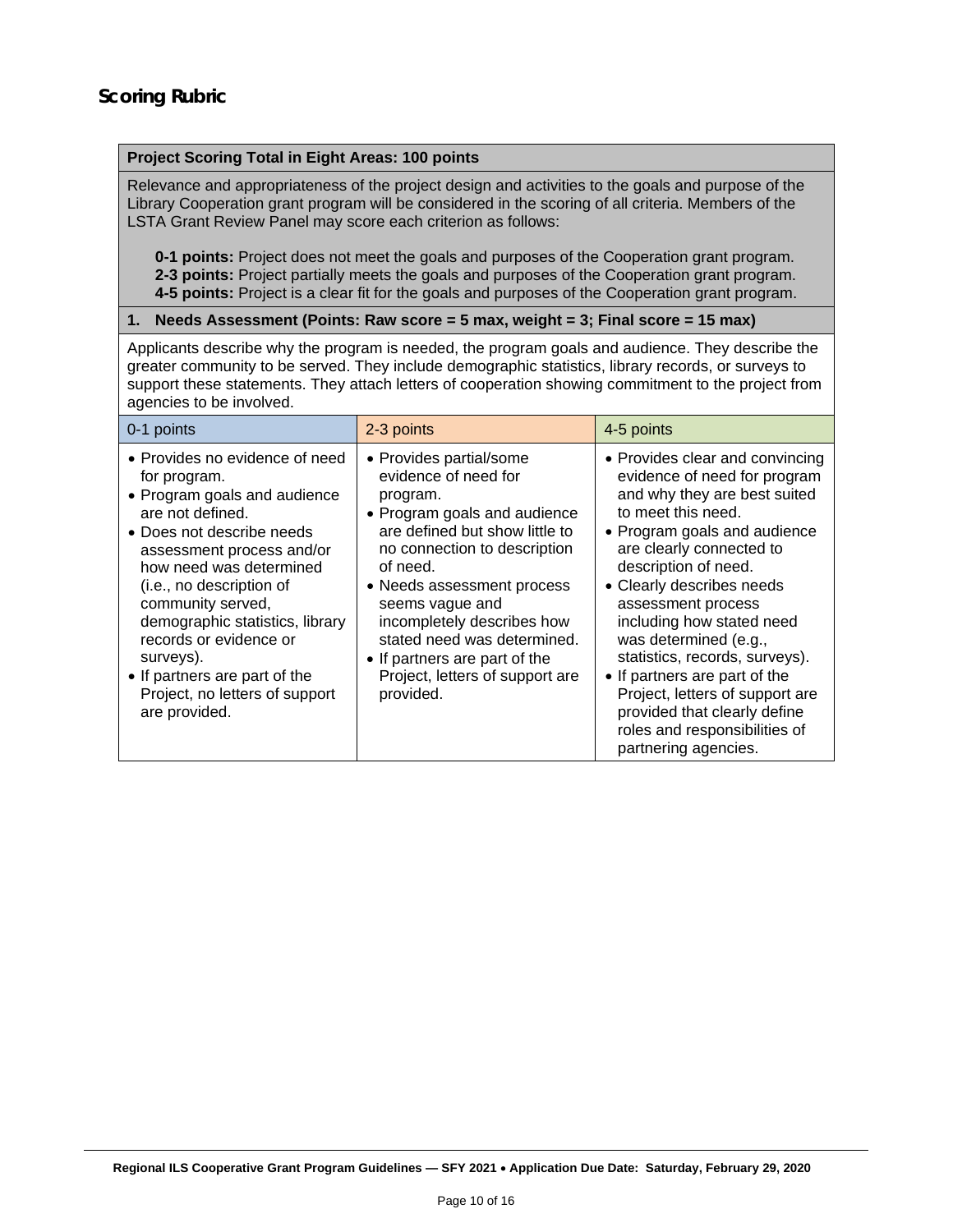#### **Project Scoring Total in Eight Areas: 100 points**

Relevance and appropriateness of the project design and activities to the goals and purpose of the Library Cooperation grant program will be considered in the scoring of all criteria. Members of the LSTA Grant Review Panel may score each criterion as follows:

**0-1 points:** Project does not meet the goals and purposes of the Cooperation grant program. **2-3 points:** Project partially meets the goals and purposes of the Cooperation grant program. **4-5 points:** Project is a clear fit for the goals and purposes of the Cooperation grant program.

#### **1. Needs Assessment (Points: Raw score = 5 max, weight = 3; Final score = 15 max)**

Applicants describe why the program is needed, the program goals and audience. They describe the greater community to be served. They include demographic statistics, library records, or surveys to support these statements. They attach letters of cooperation showing commitment to the project from agencies to be involved.

| 0-1 points                                                                                                                                                                                                                                                                                                                                                                                             | 2-3 points                                                                                                                                                                                                                                                                                                                                                               | 4-5 points                                                                                                                                                                                                                                                                                                                                                                                                                                                                                                        |
|--------------------------------------------------------------------------------------------------------------------------------------------------------------------------------------------------------------------------------------------------------------------------------------------------------------------------------------------------------------------------------------------------------|--------------------------------------------------------------------------------------------------------------------------------------------------------------------------------------------------------------------------------------------------------------------------------------------------------------------------------------------------------------------------|-------------------------------------------------------------------------------------------------------------------------------------------------------------------------------------------------------------------------------------------------------------------------------------------------------------------------------------------------------------------------------------------------------------------------------------------------------------------------------------------------------------------|
| • Provides no evidence of need<br>for program.<br>• Program goals and audience<br>are not defined.<br>• Does not describe needs<br>assessment process and/or<br>how need was determined<br>(i.e., no description of<br>community served,<br>demographic statistics, library<br>records or evidence or<br>surveys).<br>• If partners are part of the<br>Project, no letters of support<br>are provided. | • Provides partial/some<br>evidence of need for<br>program.<br>• Program goals and audience<br>are defined but show little to<br>no connection to description<br>of need.<br>• Needs assessment process<br>seems vague and<br>incompletely describes how<br>stated need was determined.<br>• If partners are part of the<br>Project, letters of support are<br>provided. | • Provides clear and convincing<br>evidence of need for program<br>and why they are best suited<br>to meet this need.<br>• Program goals and audience<br>are clearly connected to<br>description of need.<br>• Clearly describes needs<br>assessment process<br>including how stated need<br>was determined (e.g.,<br>statistics, records, surveys).<br>• If partners are part of the<br>Project, letters of support are<br>provided that clearly define<br>roles and responsibilities of<br>partnering agencies. |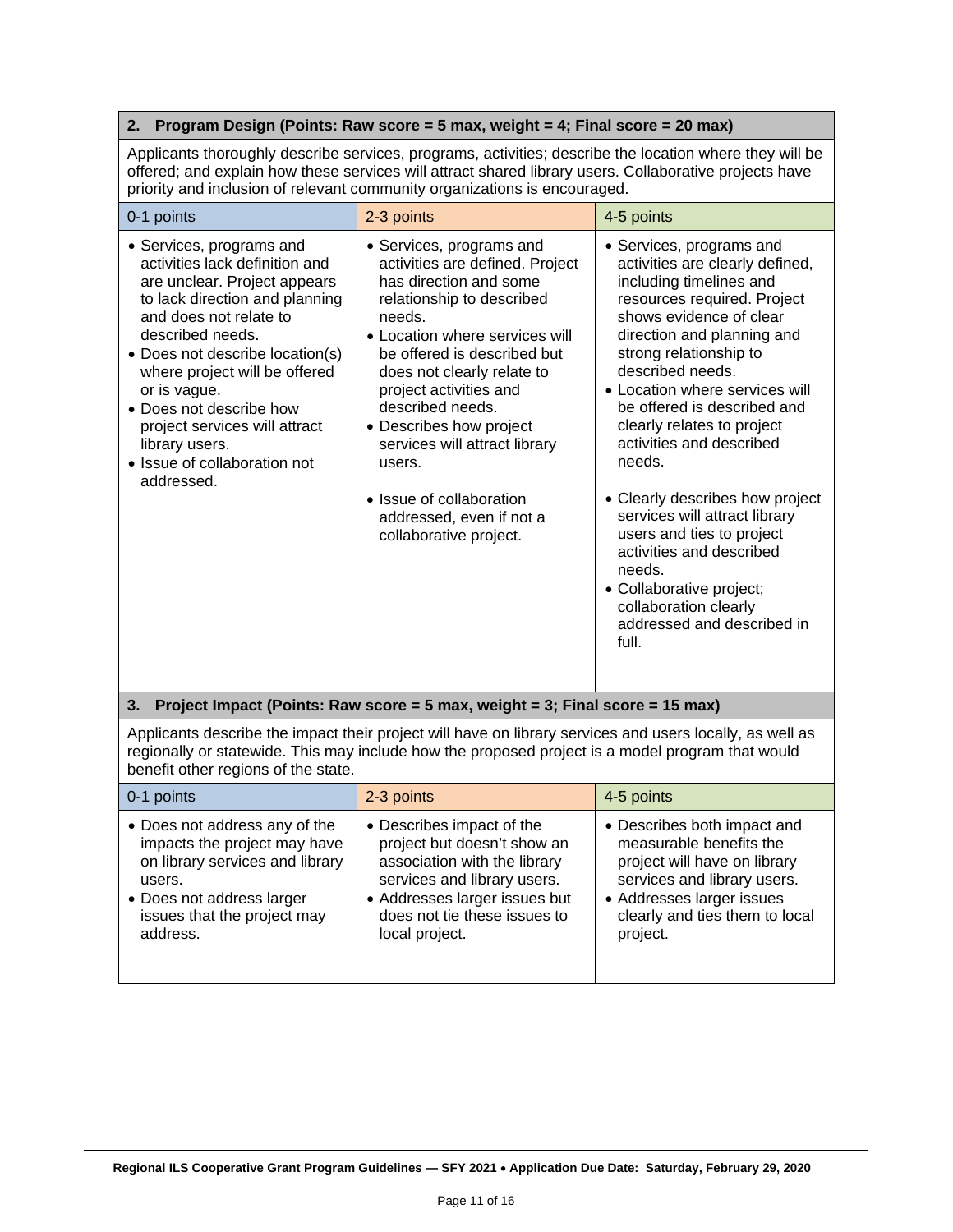#### **2. Program Design (Points: Raw score = 5 max, weight = 4; Final score = 20 max)**

Applicants thoroughly describe services, programs, activities; describe the location where they will be offered; and explain how these services will attract shared library users. Collaborative projects have priority and inclusion of relevant community organizations is encouraged.

| 0-1 points                                                                                                                                                                                                                                                                                                                                                                                 | 2-3 points                                                                                                                                                                                                                                                                                                                                                                                                                        | 4-5 points                                                                                                                                                                                                                                                                                                                                                                                                                                                                                                                                                                                           |
|--------------------------------------------------------------------------------------------------------------------------------------------------------------------------------------------------------------------------------------------------------------------------------------------------------------------------------------------------------------------------------------------|-----------------------------------------------------------------------------------------------------------------------------------------------------------------------------------------------------------------------------------------------------------------------------------------------------------------------------------------------------------------------------------------------------------------------------------|------------------------------------------------------------------------------------------------------------------------------------------------------------------------------------------------------------------------------------------------------------------------------------------------------------------------------------------------------------------------------------------------------------------------------------------------------------------------------------------------------------------------------------------------------------------------------------------------------|
| • Services, programs and<br>activities lack definition and<br>are unclear. Project appears<br>to lack direction and planning<br>and does not relate to<br>described needs.<br>• Does not describe location(s)<br>where project will be offered<br>or is vague.<br>• Does not describe how<br>project services will attract<br>library users.<br>• Issue of collaboration not<br>addressed. | • Services, programs and<br>activities are defined. Project<br>has direction and some<br>relationship to described<br>needs.<br>• Location where services will<br>be offered is described but<br>does not clearly relate to<br>project activities and<br>described needs.<br>• Describes how project<br>services will attract library<br>users.<br>• Issue of collaboration<br>addressed, even if not a<br>collaborative project. | • Services, programs and<br>activities are clearly defined,<br>including timelines and<br>resources required. Project<br>shows evidence of clear<br>direction and planning and<br>strong relationship to<br>described needs.<br>• Location where services will<br>be offered is described and<br>clearly relates to project<br>activities and described<br>needs.<br>• Clearly describes how project<br>services will attract library<br>users and ties to project<br>activities and described<br>needs.<br>• Collaborative project;<br>collaboration clearly<br>addressed and described in<br>full. |

#### **3. Project Impact (Points: Raw score = 5 max, weight = 3; Final score = 15 max)**

Applicants describe the impact their project will have on library services and users locally, as well as regionally or statewide. This may include how the proposed project is a model program that would benefit other regions of the state.

| 0-1 points                      | 2-3 points                    | 4-5 points                     |
|---------------------------------|-------------------------------|--------------------------------|
| • Does not address any of the   | • Describes impact of the     | • Describes both impact and    |
| impacts the project may have    | project but doesn't show an   | measurable benefits the        |
| on library services and library | association with the library  | project will have on library   |
| users.                          | services and library users.   | services and library users.    |
| • Does not address larger       | • Addresses larger issues but | • Addresses larger issues      |
| issues that the project may     | does not tie these issues to  | clearly and ties them to local |
| address.                        | local project.                | project.                       |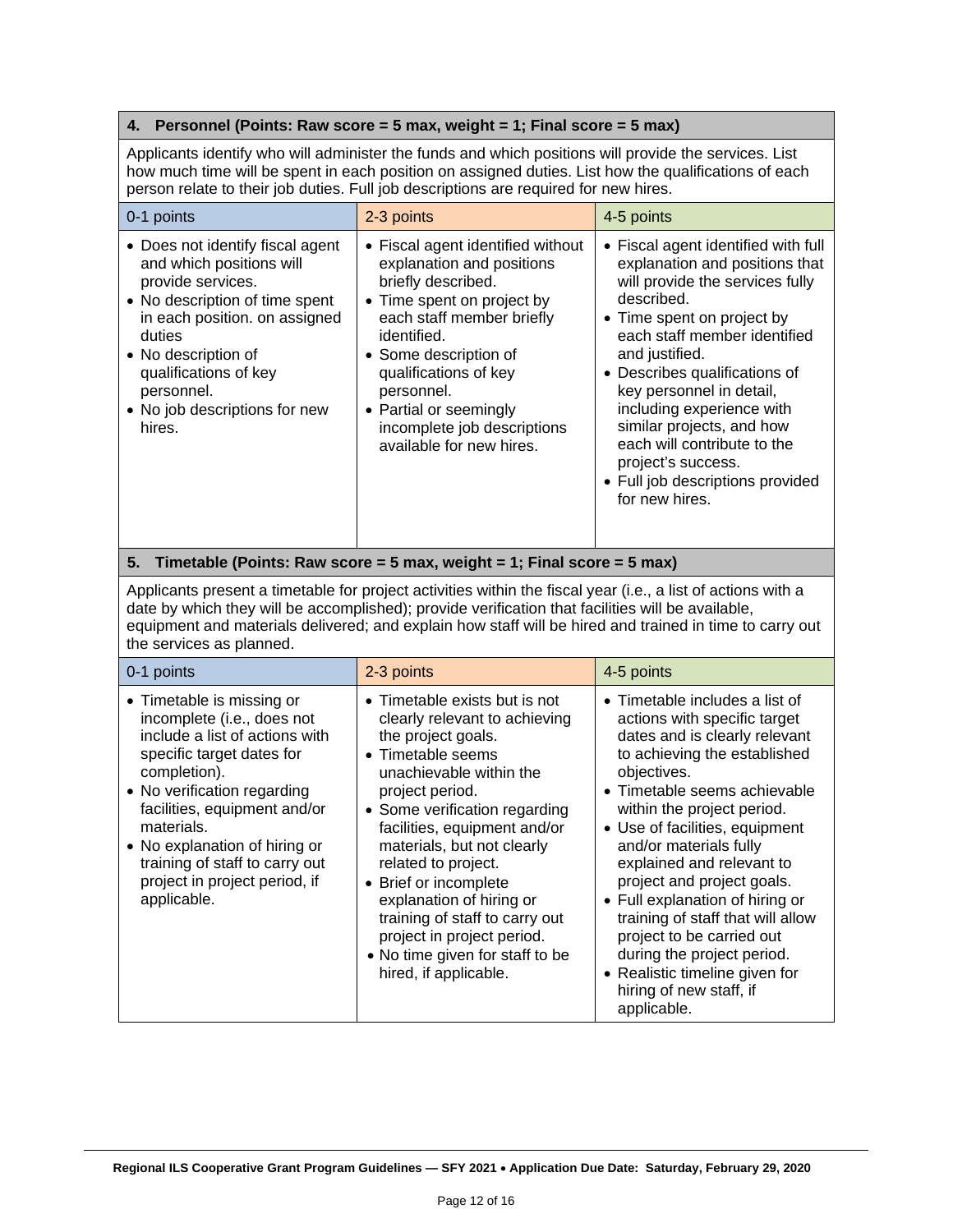#### **4. Personnel (Points: Raw score = 5 max, weight = 1; Final score = 5 max)**

Applicants identify who will administer the funds and which positions will provide the services. List how much time will be spent in each position on assigned duties. List how the qualifications of each person relate to their job duties. Full job descriptions are required for new hires.

| 0-1 points                                                                                                                                                                                                                                                              | 2-3 points                                                                                                                                                                                                                                                                                                          | 4-5 points                                                                                                                                                                                                                                                                                                                                                                                                                               |
|-------------------------------------------------------------------------------------------------------------------------------------------------------------------------------------------------------------------------------------------------------------------------|---------------------------------------------------------------------------------------------------------------------------------------------------------------------------------------------------------------------------------------------------------------------------------------------------------------------|------------------------------------------------------------------------------------------------------------------------------------------------------------------------------------------------------------------------------------------------------------------------------------------------------------------------------------------------------------------------------------------------------------------------------------------|
| • Does not identify fiscal agent<br>and which positions will<br>provide services.<br>• No description of time spent<br>in each position. on assigned<br>duties<br>• No description of<br>qualifications of key<br>personnel.<br>• No job descriptions for new<br>hires. | • Fiscal agent identified without<br>explanation and positions<br>briefly described.<br>• Time spent on project by<br>each staff member briefly<br>identified.<br>• Some description of<br>qualifications of key<br>personnel.<br>• Partial or seemingly<br>incomplete job descriptions<br>available for new hires. | • Fiscal agent identified with full<br>explanation and positions that<br>will provide the services fully<br>described.<br>• Time spent on project by<br>each staff member identified<br>and justified.<br>• Describes qualifications of<br>key personnel in detail,<br>including experience with<br>similar projects, and how<br>each will contribute to the<br>project's success.<br>• Full job descriptions provided<br>for new hires. |

#### **5. Timetable (Points: Raw score = 5 max, weight = 1; Final score = 5 max)**

Applicants present a timetable for project activities within the fiscal year (i.e., a list of actions with a date by which they will be accomplished); provide verification that facilities will be available, equipment and materials delivered; and explain how staff will be hired and trained in time to carry out the services as planned.

| 0-1 points                                                                                                                                                                                                                                                                                                                             | 2-3 points                                                                                                                                                                                                                                                                                                                                                                                                                                                     | 4-5 points                                                                                                                                                                                                                                                                                                                                                                                                                                                                                                                                                 |
|----------------------------------------------------------------------------------------------------------------------------------------------------------------------------------------------------------------------------------------------------------------------------------------------------------------------------------------|----------------------------------------------------------------------------------------------------------------------------------------------------------------------------------------------------------------------------------------------------------------------------------------------------------------------------------------------------------------------------------------------------------------------------------------------------------------|------------------------------------------------------------------------------------------------------------------------------------------------------------------------------------------------------------------------------------------------------------------------------------------------------------------------------------------------------------------------------------------------------------------------------------------------------------------------------------------------------------------------------------------------------------|
| • Timetable is missing or<br>incomplete (i.e., does not<br>include a list of actions with<br>specific target dates for<br>completion).<br>• No verification regarding<br>facilities, equipment and/or<br>materials.<br>• No explanation of hiring or<br>training of staff to carry out<br>project in project period, if<br>applicable. | • Timetable exists but is not<br>clearly relevant to achieving<br>the project goals.<br>• Timetable seems<br>unachievable within the<br>project period.<br>• Some verification regarding<br>facilities, equipment and/or<br>materials, but not clearly<br>related to project.<br>• Brief or incomplete<br>explanation of hiring or<br>training of staff to carry out<br>project in project period.<br>• No time given for staff to be<br>hired, if applicable. | $\bullet$ Timetable includes a list of<br>actions with specific target<br>dates and is clearly relevant<br>to achieving the established<br>objectives.<br>• Timetable seems achievable<br>within the project period.<br>• Use of facilities, equipment<br>and/or materials fully<br>explained and relevant to<br>project and project goals.<br>• Full explanation of hiring or<br>training of staff that will allow<br>project to be carried out<br>during the project period.<br>• Realistic timeline given for<br>hiring of new staff, if<br>applicable. |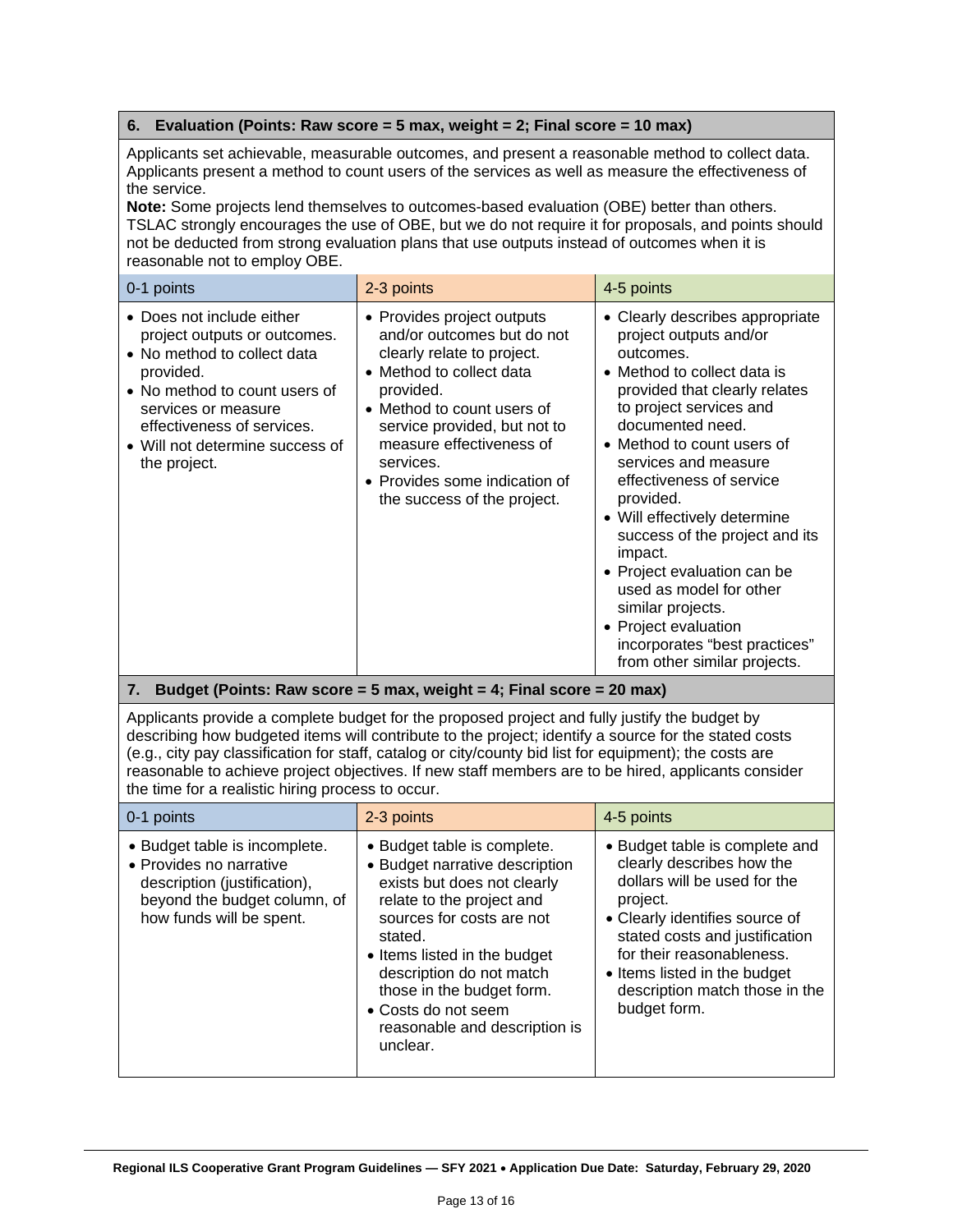#### **6. Evaluation (Points: Raw score = 5 max, weight = 2; Final score = 10 max)**

Applicants set achievable, measurable outcomes, and present a reasonable method to collect data. Applicants present a method to count users of the services as well as measure the effectiveness of the service.

**Note:** Some projects lend themselves to outcomes-based evaluation (OBE) better than others. TSLAC strongly encourages the use of OBE, but we do not require it for proposals, and points should not be deducted from strong evaluation plans that use outputs instead of outcomes when it is reasonable not to employ OBE.

| 0-1 points                                                                                                                                                                                                                                     | 2-3 points                                                                                                                                                                                                                                                                                             | 4-5 points                                                                                                                                                                                                                                                                                                                                                                                                                                                                                                                                |
|------------------------------------------------------------------------------------------------------------------------------------------------------------------------------------------------------------------------------------------------|--------------------------------------------------------------------------------------------------------------------------------------------------------------------------------------------------------------------------------------------------------------------------------------------------------|-------------------------------------------------------------------------------------------------------------------------------------------------------------------------------------------------------------------------------------------------------------------------------------------------------------------------------------------------------------------------------------------------------------------------------------------------------------------------------------------------------------------------------------------|
| • Does not include either<br>project outputs or outcomes.<br>• No method to collect data<br>provided.<br>• No method to count users of<br>services or measure<br>effectiveness of services.<br>• Will not determine success of<br>the project. | • Provides project outputs<br>and/or outcomes but do not<br>clearly relate to project.<br>• Method to collect data<br>provided.<br>• Method to count users of<br>service provided, but not to<br>measure effectiveness of<br>services.<br>• Provides some indication of<br>the success of the project. | • Clearly describes appropriate<br>project outputs and/or<br>outcomes.<br>• Method to collect data is<br>provided that clearly relates<br>to project services and<br>documented need.<br>• Method to count users of<br>services and measure<br>effectiveness of service<br>provided.<br>• Will effectively determine<br>success of the project and its<br>impact.<br>• Project evaluation can be<br>used as model for other<br>similar projects.<br>• Project evaluation<br>incorporates "best practices"<br>from other similar projects. |

#### **7. Budget (Points: Raw score = 5 max, weight = 4; Final score = 20 max)**

Applicants provide a complete budget for the proposed project and fully justify the budget by describing how budgeted items will contribute to the project; identify a source for the stated costs (e.g., city pay classification for staff, catalog or city/county bid list for equipment); the costs are reasonable to achieve project objectives. If new staff members are to be hired, applicants consider the time for a realistic hiring process to occur.

| 0-1 points                                                                                                                                           | 2-3 points                                                                                                                                                                                                                                                                                                                     | 4-5 points                                                                                                                                                                                                                                                                                 |
|------------------------------------------------------------------------------------------------------------------------------------------------------|--------------------------------------------------------------------------------------------------------------------------------------------------------------------------------------------------------------------------------------------------------------------------------------------------------------------------------|--------------------------------------------------------------------------------------------------------------------------------------------------------------------------------------------------------------------------------------------------------------------------------------------|
| • Budget table is incomplete.<br>• Provides no narrative<br>description (justification),<br>beyond the budget column, of<br>how funds will be spent. | • Budget table is complete.<br>• Budget narrative description<br>exists but does not clearly<br>relate to the project and<br>sources for costs are not<br>stated.<br>• Items listed in the budget<br>description do not match<br>those in the budget form.<br>• Costs do not seem<br>reasonable and description is<br>unclear. | • Budget table is complete and<br>clearly describes how the<br>dollars will be used for the<br>project.<br>• Clearly identifies source of<br>stated costs and justification<br>for their reasonableness.<br>• Items listed in the budget<br>description match those in the<br>budget form. |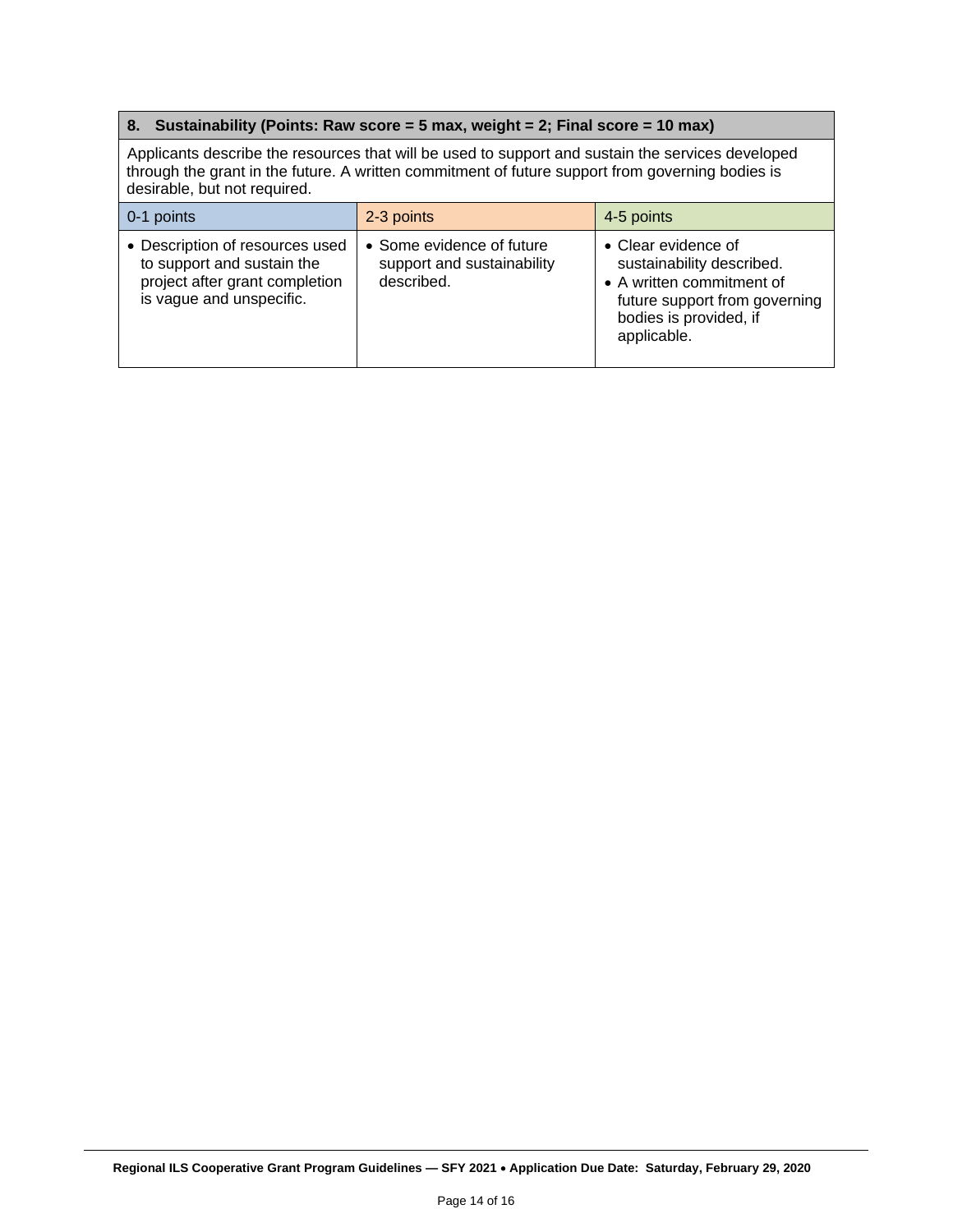#### **8. Sustainability (Points: Raw score = 5 max, weight = 2; Final score = 10 max)**

Applicants describe the resources that will be used to support and sustain the services developed through the grant in the future. A written commitment of future support from governing bodies is desirable, but not required.

| 0-1 points                                                                                                                  | 2-3 points                                                            | 4-5 points                                                                                                                                              |
|-----------------------------------------------------------------------------------------------------------------------------|-----------------------------------------------------------------------|---------------------------------------------------------------------------------------------------------------------------------------------------------|
| • Description of resources used<br>to support and sustain the<br>project after grant completion<br>is vague and unspecific. | • Some evidence of future<br>support and sustainability<br>described. | • Clear evidence of<br>sustainability described.<br>• A written commitment of<br>future support from governing<br>bodies is provided, if<br>applicable. |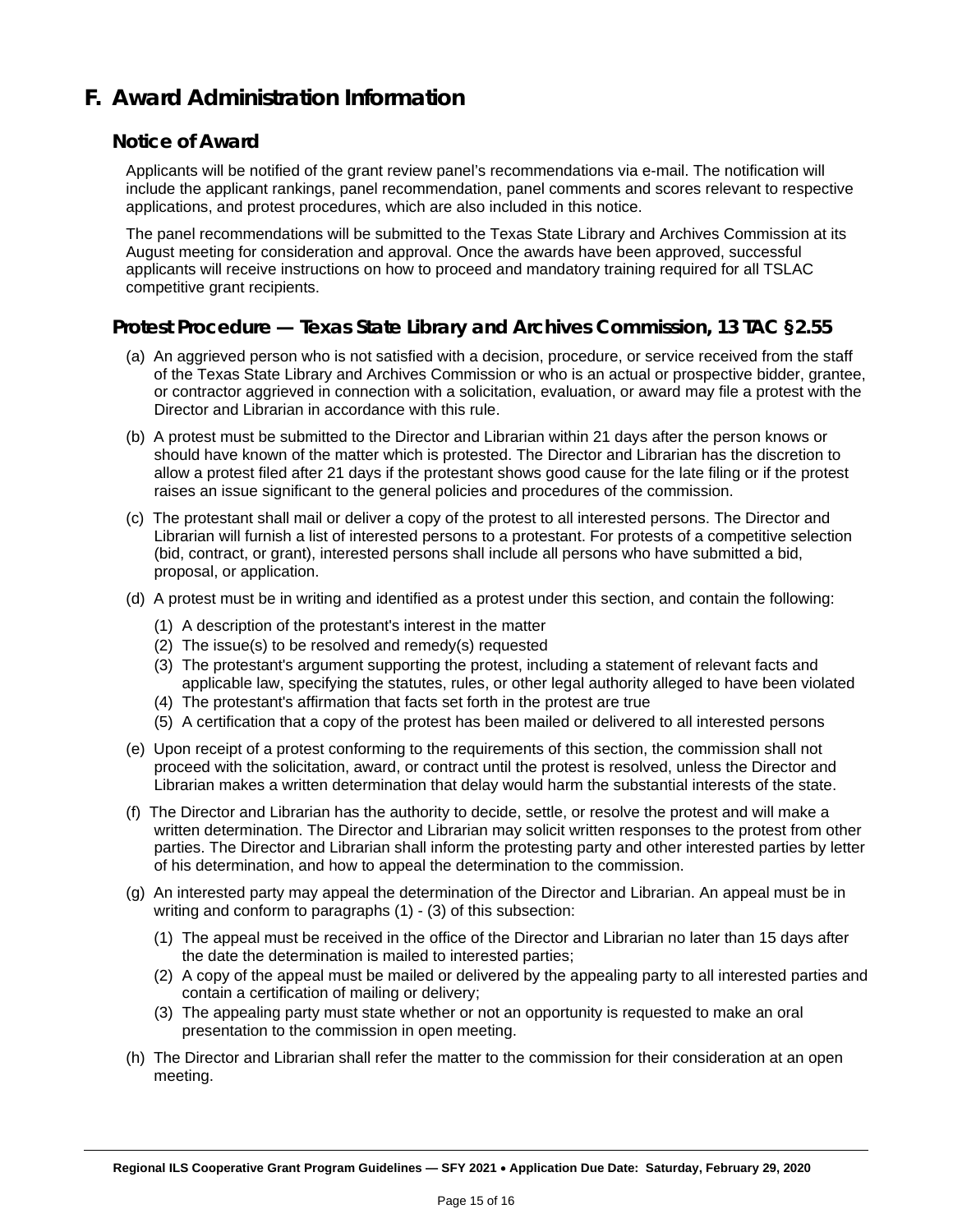## <span id="page-14-0"></span>**F. Award Administration Information**

#### **Notice of Award**

Applicants will be notified of the grant review panel's recommendations via e-mail. The notification will include the applicant rankings, panel recommendation, panel comments and scores relevant to respective applications, and protest procedures, which are also included in this notice.

The panel recommendations will be submitted to the Texas State Library and Archives Commission at its August meeting for consideration and approval. Once the awards have been approved, successful applicants will receive instructions on how to proceed and mandatory training required for all TSLAC competitive grant recipients.

#### **Protest Procedure — Texas State Library and Archives Commission, 13 TAC §2.55**

- (a) An aggrieved person who is not satisfied with a decision, procedure, or service received from the staff of the Texas State Library and Archives Commission or who is an actual or prospective bidder, grantee, or contractor aggrieved in connection with a solicitation, evaluation, or award may file a protest with the Director and Librarian in accordance with this rule.
- (b) A protest must be submitted to the Director and Librarian within 21 days after the person knows or should have known of the matter which is protested. The Director and Librarian has the discretion to allow a protest filed after 21 days if the protestant shows good cause for the late filing or if the protest raises an issue significant to the general policies and procedures of the commission.
- (c) The protestant shall mail or deliver a copy of the protest to all interested persons. The Director and Librarian will furnish a list of interested persons to a protestant. For protests of a competitive selection (bid, contract, or grant), interested persons shall include all persons who have submitted a bid, proposal, or application.
- (d) A protest must be in writing and identified as a protest under this section, and contain the following:
	- (1) A description of the protestant's interest in the matter
	- (2) The issue(s) to be resolved and remedy(s) requested
	- (3) The protestant's argument supporting the protest, including a statement of relevant facts and applicable law, specifying the statutes, rules, or other legal authority alleged to have been violated
	- (4) The protestant's affirmation that facts set forth in the protest are true
	- (5) A certification that a copy of the protest has been mailed or delivered to all interested persons
- (e) Upon receipt of a protest conforming to the requirements of this section, the commission shall not proceed with the solicitation, award, or contract until the protest is resolved, unless the Director and Librarian makes a written determination that delay would harm the substantial interests of the state.
- (f) The Director and Librarian has the authority to decide, settle, or resolve the protest and will make a written determination. The Director and Librarian may solicit written responses to the protest from other parties. The Director and Librarian shall inform the protesting party and other interested parties by letter of his determination, and how to appeal the determination to the commission.
- (g) An interested party may appeal the determination of the Director and Librarian. An appeal must be in writing and conform to paragraphs (1) - (3) of this subsection:
	- (1) The appeal must be received in the office of the Director and Librarian no later than 15 days after the date the determination is mailed to interested parties;
	- (2) A copy of the appeal must be mailed or delivered by the appealing party to all interested parties and contain a certification of mailing or delivery;
	- (3) The appealing party must state whether or not an opportunity is requested to make an oral presentation to the commission in open meeting.
- (h) The Director and Librarian shall refer the matter to the commission for their consideration at an open meeting.